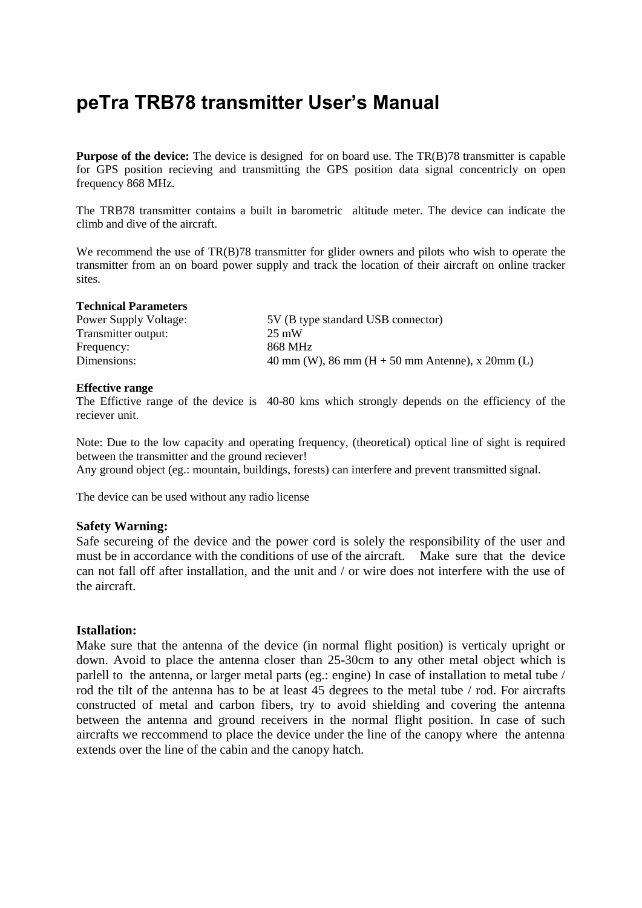# **peTra TRB78 transmitter User's Manual**

**Purpose of the device:** The device is designed for on board use. The TR(B)78 transmitter is capable for GPS position recieving and transmitting the GPS position data signal concentricly on open frequency 868 MHz.

The TRB78 transmitter contains a built in barometric altitude meter. The device can indicate the climb and dive of the aircraft.

We recommend the use of TR(B)78 transmitter for glider owners and pilots who wish to operate the transmitter from an on board power supply and track the location of their aircraft on online tracker sites.

#### **Technical Parameters**

Power Supply Voltage: 5V (B type standard USB connector) Transmitter output: 25 mW Frequency: 868 MHz Dimensions: 40 mm (W), 86 mm (H + 50 mm Antenne), x 20mm (L)

## **Effective range**

The Effictive range of the device is 40-80 kms which strongly depends on the efficiency of the reciever unit.

Note: Due to the low capacity and operating frequency, (theoretical) optical line of sight is required between the transmitter and the ground reciever!

Any ground object (eg.: mountain, buildings, forests) can interfere and prevent transmitted signal.

The device can be used without any radio license

# **Safety Warning:**

Safe secureing of the device and the power cord is solely the responsibility of the user and must be in accordance with the conditions of use of the aircraft. Make sure that the device can not fall off after installation, and the unit and / or wire does not interfere with the use of the aircraft.

# **Istallation:**

Make sure that the antenna of the device (in normal flight position) is verticaly upright or down. Avoid to place the antenna closer than 25-30cm to any other metal object which is parlell to the antenna, or larger metal parts (eg.: engine) In case of installation to metal tube / rod the tilt of the antenna has to be at least 45 degrees to the metal tube / rod. For aircrafts constructed of metal and carbon fibers, try to avoid shielding and covering the antenna between the antenna and ground receivers in the normal flight position. In case of such aircrafts we reccommend to place the device under the line of the canopy where the antenna extends over the line of the cabin and the canopy hatch.